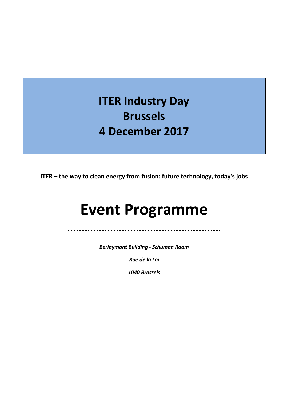# **ITER Industry Day Brussels 4 December 2017**

**ITER – the way to clean energy from fusion: future technology, today's jobs**

# **Event Programme**

. . .

*Berlaymont Building - Schuman Room*

*Rue de la Loi*

*1040 Brussels*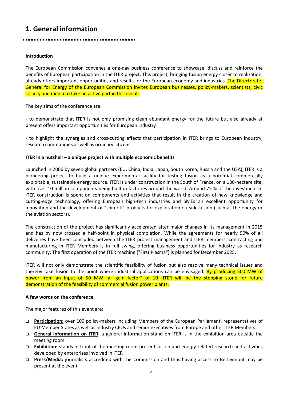# **1. General information**

### **Introduction**

The European Commission convenes a one-day business conference to showcase, discuss and reinforce the benefits of European participation in the ITER project. This project, bringing fusion energy closer to realization, already offers important opportunities and results for the European economy and industries. The Directorate-General for Energy of the European Commission invites European businesses, policy-makers, scientists, civic society and media to take an active part in this event.

The key aims of the conference are:

- to demonstrate that ITER is not only promising clean abundant energy for the future but also already at present offers important opportunities for European industry

- to highlight the synergies and cross-cutting effects that participation in ITER brings to European industry, research communities as well as ordinary citizens.

### **ITER in a nutshell – a unique project with multiple economic benefits**

Launched in 2006 by seven global partners (EU, China, India, Japan, South Korea, Russia and the USA), ITER is a pioneering project to build a unique experimental facility for testing fusion as a potential commercially exploitable, sustainable energy source. ITER is under construction in the South of France, on a 180-hectare site, with over 10 million components being built in factories around the world. Around 75 % of the investment in ITER construction is spent on components and activities that result in the creation of new knowledge and cutting-edge technology, offering European high-tech industries and SMEs an excellent opportunity for innovation and the development of "spin off" products for exploitation outside fusion (such as the energy or the aviation sectors).

The construction of the project has significantly accelerated after major changes in its management in 2015 and has by now crossed a half-point in physical completion. While the agreements for nearly 90% of all deliveries have been concluded between the ITER project management and ITER members, contracting and manufacturing in ITER Members is in full swing, offering business opportunities for industry as research community. The first operation of the ITER machine ("First Plasma") is planned for December 2025.

ITER will not only demonstrate the scientific feasibility of fusion but also resolve many technical issues and thereby take fusion to the point where industrial applications can be envisaged. By producing 500 MW of power from an input of 50 MW—a "gain factor" of 10—ITER will be the stepping stone for future demonstration of the feasibility of commercial fusion power plants.

#### **A few words on the conference**

The major features of this event are:

- **Participation:** over 100 policy-makers including Members of the European Parliament, representatives of EU Member States as well as industry CEOs and senior executives from Europe and other ITER Members
- **General information on ITER**: a general information stand on ITER is in the exhibition area outside the meeting room
- **Exhibition:** stands in front of the meeting room present fusion and energy-related research and activities developed by enterprises involved in ITER
- **Press/Media:** journalists accredited with the Commission and thus having access to Berlaymont may be present at the event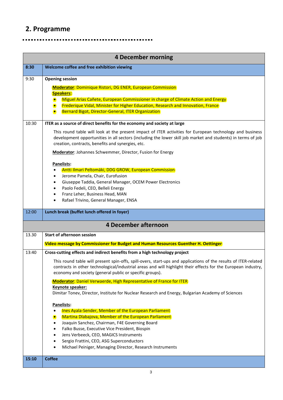## **2. Programme**

## **4 December morning 8:30 Welcome coffee and free exhibition viewing** 9:30 **Opening session Moderator**: Dominique Ristori, DG ENER, European Commission **Speakers: • Miguel Arias Cañete, European Commissioner in charge of Climate Action and Energy**  Frederique Vidal, Minister for Higher Education, Research and Innovation, France **• Bernard Bigot, Director-General, ITER Organization** 10:30 **ITER as a source of direct benefits for the economy and society at large** This round table will look at the present impact of ITER activities for European technology and business development opportunities in all sectors (including the lower skill job market and students) in terms of job creation, contracts, benefits and synergies, etc. **Moderator**: Johannes Schwemmer, Director, Fusion for Energy **Panelists:** Antti Ilmari Peltomäki, DDG GROW, European Commission Jerome Pamela, Chair, Eurofusion Giuseppe Taddia, General Manager, OCEM Power Electronics Paolo Fedeli, CEO, Belleli Energy Franz Leher, Business Head, MAN Rafael Trivino, General Manager, ENSA 12:00 **Lunch break (buffet lunch offered in foyer) 4 December afternoon** 13.30 **Start of afternoon session Video message by Commissioner for Budget and Human Resources Guenther H. Oettinger** 13:40 **Cross-cutting effects and indirect benefits from a high technology project** This round table will present spin-offs, spill-overs, start-ups and applications of the results of ITER-related contracts in other technological/industrial areas and will highlight their effects for the European industry, economy and society (general public or specific groups). **Moderator**: Daniel Verwaerde, High Representative of France for ITER **Keynote speaker:** Dimitar Tonev, Director, Institute for Nuclear Research and Energy, Bulgarian Academy of Sciences **Panelists:** Ines Ayala-Sender, Member of the European Parliament Martina Dlabajova, Member of the European Parliament Joaquin Sanchez, Chairman, F4E Governing Board Falko Busse, Executive Vice President, Biospin Jens Verbeeck, CEO, MAGICS Instruments Sergio Frattini, CEO, ASG Superconductors Michael Peiniger, Managing Director, Research Instruments **15:10 Coffee**